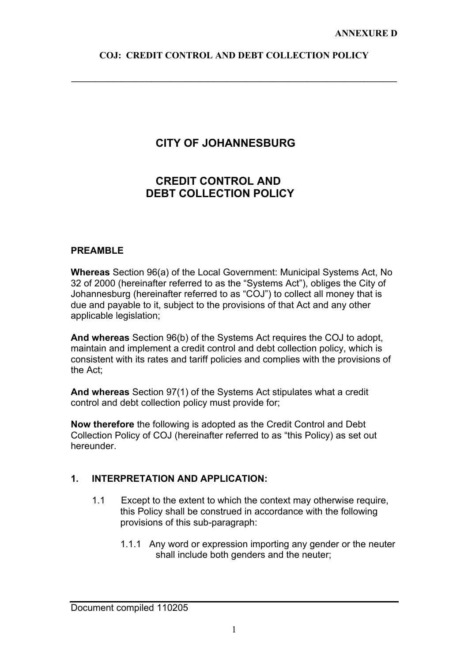**\_\_\_\_\_\_\_\_\_\_\_\_\_\_\_\_\_\_\_\_\_\_\_\_\_\_\_\_\_\_\_\_\_\_\_\_\_\_\_\_\_\_\_\_\_\_\_\_\_\_\_\_\_\_\_\_\_\_\_\_\_\_\_\_\_\_\_\_\_** 

# **CITY OF JOHANNESBURG**

# **CREDIT CONTROL AND DEBT COLLECTION POLICY**

#### **PREAMBLE**

**Whereas** Section 96(a) of the Local Government: Municipal Systems Act, No 32 of 2000 (hereinafter referred to as the "Systems Act"), obliges the City of Johannesburg (hereinafter referred to as "COJ") to collect all money that is due and payable to it, subject to the provisions of that Act and any other applicable legislation;

**And whereas** Section 96(b) of the Systems Act requires the COJ to adopt, maintain and implement a credit control and debt collection policy, which is consistent with its rates and tariff policies and complies with the provisions of the Act;

**And whereas** Section 97(1) of the Systems Act stipulates what a credit control and debt collection policy must provide for;

**Now therefore** the following is adopted as the Credit Control and Debt Collection Policy of COJ (hereinafter referred to as "this Policy) as set out hereunder.

## **1. INTERPRETATION AND APPLICATION:**

- 1.1 Except to the extent to which the context may otherwise require, this Policy shall be construed in accordance with the following provisions of this sub-paragraph:
	- 1.1.1 Any word or expression importing any gender or the neuter shall include both genders and the neuter;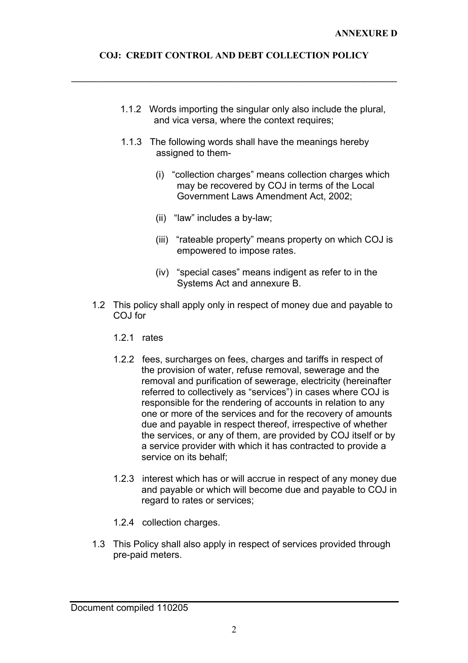**\_\_\_\_\_\_\_\_\_\_\_\_\_\_\_\_\_\_\_\_\_\_\_\_\_\_\_\_\_\_\_\_\_\_\_\_\_\_\_\_\_\_\_\_\_\_\_\_\_\_\_\_\_\_\_\_\_\_\_\_\_\_\_\_\_\_\_\_\_** 

- 1.1.2 Words importing the singular only also include the plural, and vica versa, where the context requires;
- 1.1.3 The following words shall have the meanings hereby assigned to them-
	- (i) "collection charges" means collection charges which may be recovered by COJ in terms of the Local Government Laws Amendment Act, 2002;
	- (ii) "law" includes a by-law;
	- (iii) "rateable property" means property on which COJ is empowered to impose rates.
	- (iv) "special cases" means indigent as refer to in the Systems Act and annexure B.
- 1.2 This policy shall apply only in respect of money due and payable to COJ for
	- 1.2.1 rates
	- 1.2.2 fees, surcharges on fees, charges and tariffs in respect of the provision of water, refuse removal, sewerage and the removal and purification of sewerage, electricity (hereinafter referred to collectively as "services") in cases where COJ is responsible for the rendering of accounts in relation to any one or more of the services and for the recovery of amounts due and payable in respect thereof, irrespective of whether the services, or any of them, are provided by COJ itself or by a service provider with which it has contracted to provide a service on its behalf;
	- 1.2.3 interest which has or will accrue in respect of any money due and payable or which will become due and payable to COJ in regard to rates or services;
	- 1.2.4 collection charges.
- 1.3 This Policy shall also apply in respect of services provided through pre-paid meters.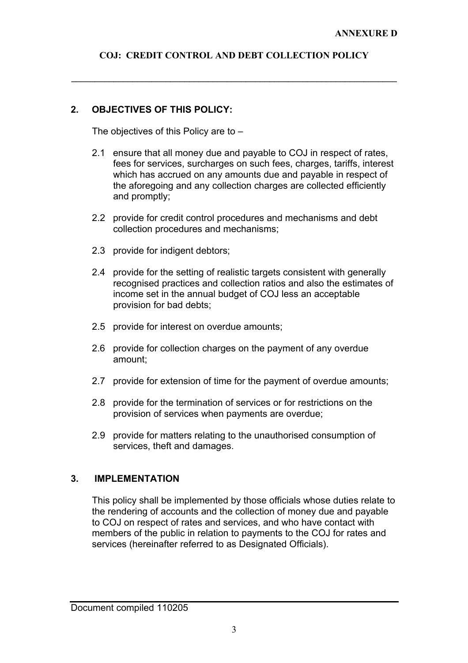**\_\_\_\_\_\_\_\_\_\_\_\_\_\_\_\_\_\_\_\_\_\_\_\_\_\_\_\_\_\_\_\_\_\_\_\_\_\_\_\_\_\_\_\_\_\_\_\_\_\_\_\_\_\_\_\_\_\_\_\_\_\_\_\_\_\_\_\_\_** 

## **2. OBJECTIVES OF THIS POLICY:**

The objectives of this Policy are to –

- 2.1 ensure that all money due and payable to COJ in respect of rates, fees for services, surcharges on such fees, charges, tariffs, interest which has accrued on any amounts due and payable in respect of the aforegoing and any collection charges are collected efficiently and promptly;
- 2.2 provide for credit control procedures and mechanisms and debt collection procedures and mechanisms;
- 2.3 provide for indigent debtors;
- 2.4 provide for the setting of realistic targets consistent with generally recognised practices and collection ratios and also the estimates of income set in the annual budget of COJ less an acceptable provision for bad debts;
- 2.5 provide for interest on overdue amounts;
- 2.6 provide for collection charges on the payment of any overdue amount;
- 2.7 provide for extension of time for the payment of overdue amounts;
- 2.8 provide for the termination of services or for restrictions on the provision of services when payments are overdue;
- 2.9 provide for matters relating to the unauthorised consumption of services, theft and damages.

## **3. IMPLEMENTATION**

This policy shall be implemented by those officials whose duties relate to the rendering of accounts and the collection of money due and payable to COJ on respect of rates and services, and who have contact with members of the public in relation to payments to the COJ for rates and services (hereinafter referred to as Designated Officials).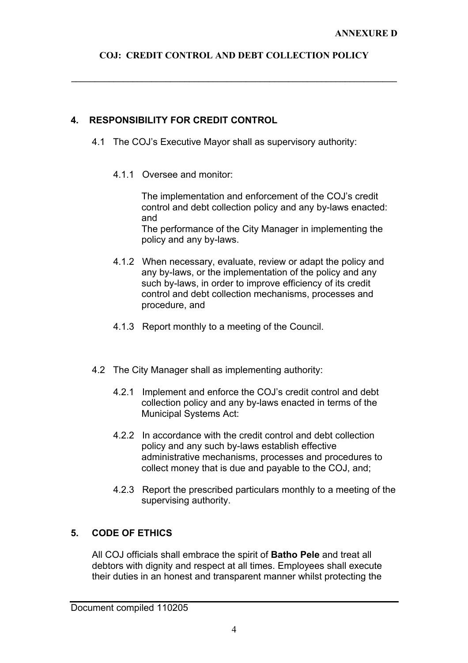**\_\_\_\_\_\_\_\_\_\_\_\_\_\_\_\_\_\_\_\_\_\_\_\_\_\_\_\_\_\_\_\_\_\_\_\_\_\_\_\_\_\_\_\_\_\_\_\_\_\_\_\_\_\_\_\_\_\_\_\_\_\_\_\_\_\_\_\_\_** 

## **4. RESPONSIBILITY FOR CREDIT CONTROL**

- 4.1 The COJ's Executive Mayor shall as supervisory authority:
	- 4.1.1 Oversee and monitor:

The implementation and enforcement of the COJ's credit control and debt collection policy and any by-laws enacted: and

The performance of the City Manager in implementing the policy and any by-laws.

- 4.1.2 When necessary, evaluate, review or adapt the policy and any by-laws, or the implementation of the policy and any such by-laws, in order to improve efficiency of its credit control and debt collection mechanisms, processes and procedure, and
- 4.1.3 Report monthly to a meeting of the Council.
- 4.2 The City Manager shall as implementing authority:
	- 4.2.1 Implement and enforce the COJ's credit control and debt collection policy and any by-laws enacted in terms of the Municipal Systems Act:
	- 4.2.2 In accordance with the credit control and debt collection policy and any such by-laws establish effective administrative mechanisms, processes and procedures to collect money that is due and payable to the COJ, and;
	- 4.2.3 Report the prescribed particulars monthly to a meeting of the supervising authority.

# **5. CODE OF ETHICS**

All COJ officials shall embrace the spirit of **Batho Pele** and treat all debtors with dignity and respect at all times. Employees shall execute their duties in an honest and transparent manner whilst protecting the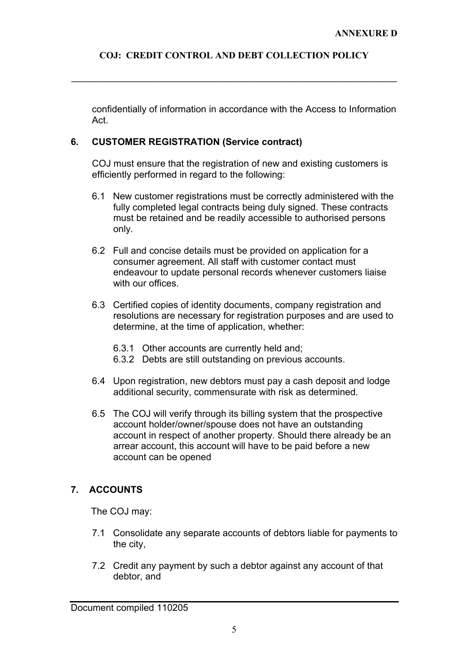**\_\_\_\_\_\_\_\_\_\_\_\_\_\_\_\_\_\_\_\_\_\_\_\_\_\_\_\_\_\_\_\_\_\_\_\_\_\_\_\_\_\_\_\_\_\_\_\_\_\_\_\_\_\_\_\_\_\_\_\_\_\_\_\_\_\_\_\_\_** 

confidentially of information in accordance with the Access to Information Act.

#### **6. CUSTOMER REGISTRATION (Service contract)**

COJ must ensure that the registration of new and existing customers is efficiently performed in regard to the following:

- 6.1 New customer registrations must be correctly administered with the fully completed legal contracts being duly signed. These contracts must be retained and be readily accessible to authorised persons only.
- 6.2 Full and concise details must be provided on application for a consumer agreement. All staff with customer contact must endeavour to update personal records whenever customers liaise with our offices
- 6.3 Certified copies of identity documents, company registration and resolutions are necessary for registration purposes and are used to determine, at the time of application, whether:
	- 6.3.1 Other accounts are currently held and;
	- 6.3.2 Debts are still outstanding on previous accounts.
- 6.4 Upon registration, new debtors must pay a cash deposit and lodge additional security, commensurate with risk as determined.
- 6.5 The COJ will verify through its billing system that the prospective account holder/owner/spouse does not have an outstanding account in respect of another property. Should there already be an arrear account, this account will have to be paid before a new account can be opened

## **7. ACCOUNTS**

The COJ may:

- 7.1 Consolidate any separate accounts of debtors liable for payments to the city,
- 7.2 Credit any payment by such a debtor against any account of that debtor, and

Document compiled 110205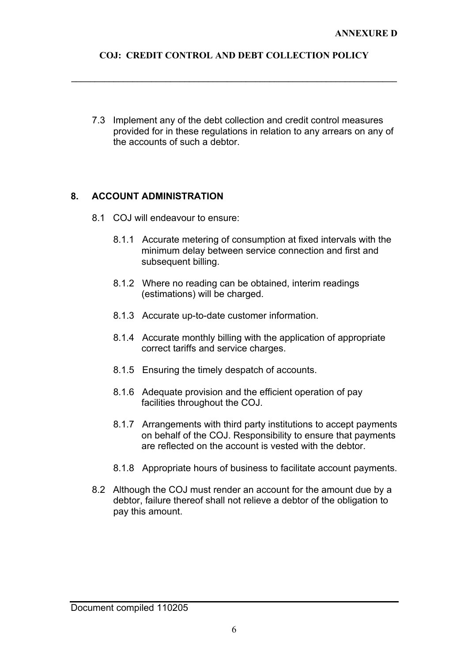**\_\_\_\_\_\_\_\_\_\_\_\_\_\_\_\_\_\_\_\_\_\_\_\_\_\_\_\_\_\_\_\_\_\_\_\_\_\_\_\_\_\_\_\_\_\_\_\_\_\_\_\_\_\_\_\_\_\_\_\_\_\_\_\_\_\_\_\_\_** 

7.3 Implement any of the debt collection and credit control measures provided for in these regulations in relation to any arrears on any of the accounts of such a debtor.

#### **8. ACCOUNT ADMINISTRATION**

- 8.1 COJ will endeavour to ensure:
	- 8.1.1 Accurate metering of consumption at fixed intervals with the minimum delay between service connection and first and subsequent billing.
	- 8.1.2 Where no reading can be obtained, interim readings (estimations) will be charged.
	- 8.1.3 Accurate up-to-date customer information.
	- 8.1.4 Accurate monthly billing with the application of appropriate correct tariffs and service charges.
	- 8.1.5 Ensuring the timely despatch of accounts.
	- 8.1.6 Adequate provision and the efficient operation of pay facilities throughout the COJ.
	- 8.1.7 Arrangements with third party institutions to accept payments on behalf of the COJ. Responsibility to ensure that payments are reflected on the account is vested with the debtor.
	- 8.1.8 Appropriate hours of business to facilitate account payments.
- 8.2 Although the COJ must render an account for the amount due by a debtor, failure thereof shall not relieve a debtor of the obligation to pay this amount.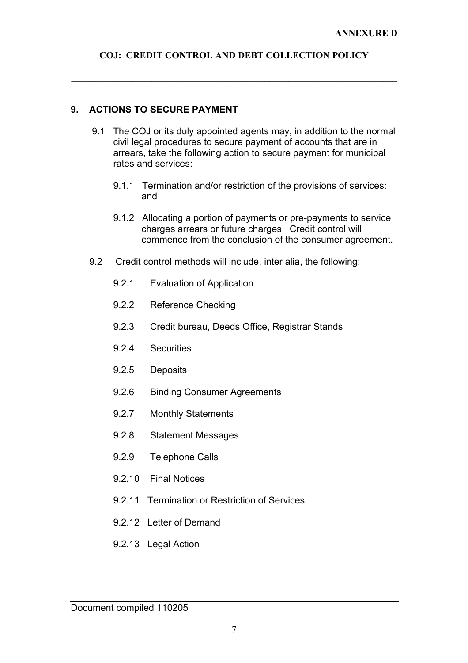**\_\_\_\_\_\_\_\_\_\_\_\_\_\_\_\_\_\_\_\_\_\_\_\_\_\_\_\_\_\_\_\_\_\_\_\_\_\_\_\_\_\_\_\_\_\_\_\_\_\_\_\_\_\_\_\_\_\_\_\_\_\_\_\_\_\_\_\_\_** 

#### **9. ACTIONS TO SECURE PAYMENT**

- 9.1 The COJ or its duly appointed agents may, in addition to the normal civil legal procedures to secure payment of accounts that are in arrears, take the following action to secure payment for municipal rates and services:
	- 9.1.1 Termination and/or restriction of the provisions of services: and
	- 9.1.2 Allocating a portion of payments or pre-payments to service charges arrears or future charges Credit control will commence from the conclusion of the consumer agreement.
- 9.2 Credit control methods will include, inter alia, the following:
	- 9.2.1 Evaluation of Application
	- 9.2.2 Reference Checking
	- 9.2.3 Credit bureau, Deeds Office, Registrar Stands
	- 9.2.4 Securities
	- 9.2.5 Deposits
	- 9.2.6 Binding Consumer Agreements
	- 9.2.7 Monthly Statements
	- 9.2.8 Statement Messages
	- 9.2.9 Telephone Calls
	- 9.2.10 Final Notices
	- 9.2.11 Termination or Restriction of Services
	- 9.2.12 Letter of Demand
	- 9.2.13 Legal Action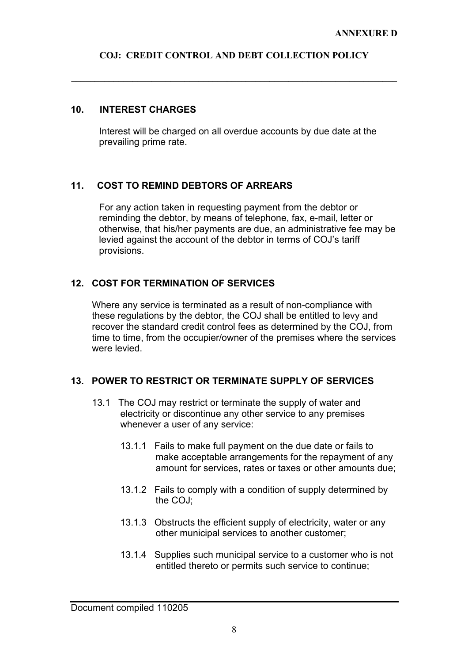**\_\_\_\_\_\_\_\_\_\_\_\_\_\_\_\_\_\_\_\_\_\_\_\_\_\_\_\_\_\_\_\_\_\_\_\_\_\_\_\_\_\_\_\_\_\_\_\_\_\_\_\_\_\_\_\_\_\_\_\_\_\_\_\_\_\_\_\_\_** 

#### **10. INTEREST CHARGES**

Interest will be charged on all overdue accounts by due date at the prevailing prime rate.

#### **11. COST TO REMIND DEBTORS OF ARREARS**

For any action taken in requesting payment from the debtor or reminding the debtor, by means of telephone, fax, e-mail, letter or otherwise, that his/her payments are due, an administrative fee may be levied against the account of the debtor in terms of COJ's tariff provisions.

#### **12. COST FOR TERMINATION OF SERVICES**

Where any service is terminated as a result of non-compliance with these regulations by the debtor, the COJ shall be entitled to levy and recover the standard credit control fees as determined by the COJ, from time to time, from the occupier/owner of the premises where the services were levied.

#### **13. POWER TO RESTRICT OR TERMINATE SUPPLY OF SERVICES**

- 13.1 The COJ may restrict or terminate the supply of water and electricity or discontinue any other service to any premises whenever a user of any service:
	- 13.1.1 Fails to make full payment on the due date or fails to make acceptable arrangements for the repayment of any amount for services, rates or taxes or other amounts due;
	- 13.1.2 Fails to comply with a condition of supply determined by the COJ;
	- 13.1.3 Obstructs the efficient supply of electricity, water or any other municipal services to another customer;
	- 13.1.4 Supplies such municipal service to a customer who is not entitled thereto or permits such service to continue;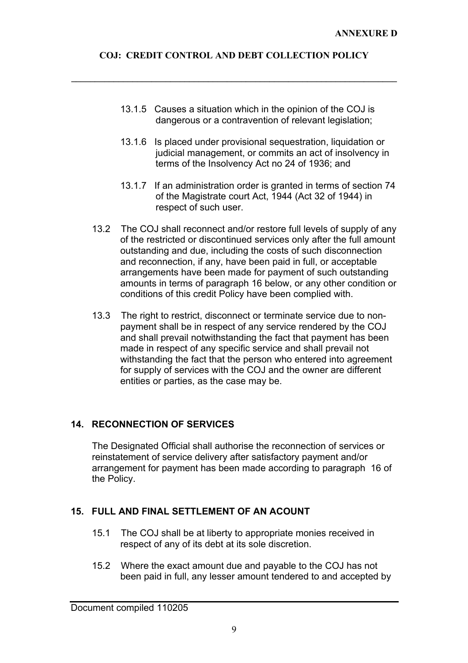**\_\_\_\_\_\_\_\_\_\_\_\_\_\_\_\_\_\_\_\_\_\_\_\_\_\_\_\_\_\_\_\_\_\_\_\_\_\_\_\_\_\_\_\_\_\_\_\_\_\_\_\_\_\_\_\_\_\_\_\_\_\_\_\_\_\_\_\_\_** 

- 13.1.5 Causes a situation which in the opinion of the COJ is dangerous or a contravention of relevant legislation;
- 13.1.6 Is placed under provisional sequestration, liquidation or judicial management, or commits an act of insolvency in terms of the Insolvency Act no 24 of 1936; and
- 13.1.7 If an administration order is granted in terms of section 74 of the Magistrate court Act, 1944 (Act 32 of 1944) in respect of such user.
- 13.2 The COJ shall reconnect and/or restore full levels of supply of any of the restricted or discontinued services only after the full amount outstanding and due, including the costs of such disconnection and reconnection, if any, have been paid in full, or acceptable arrangements have been made for payment of such outstanding amounts in terms of paragraph 16 below, or any other condition or conditions of this credit Policy have been complied with.
- 13.3 The right to restrict, disconnect or terminate service due to nonpayment shall be in respect of any service rendered by the COJ and shall prevail notwithstanding the fact that payment has been made in respect of any specific service and shall prevail not withstanding the fact that the person who entered into agreement for supply of services with the COJ and the owner are different entities or parties, as the case may be.

# **14. RECONNECTION OF SERVICES**

The Designated Official shall authorise the reconnection of services or reinstatement of service delivery after satisfactory payment and/or arrangement for payment has been made according to paragraph 16 of the Policy.

# **15. FULL AND FINAL SETTLEMENT OF AN ACOUNT**

- 15.1 The COJ shall be at liberty to appropriate monies received in respect of any of its debt at its sole discretion.
- 15.2 Where the exact amount due and payable to the COJ has not been paid in full, any lesser amount tendered to and accepted by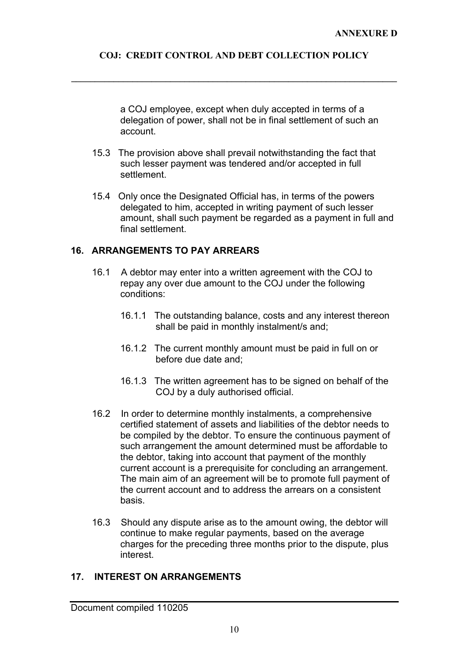**\_\_\_\_\_\_\_\_\_\_\_\_\_\_\_\_\_\_\_\_\_\_\_\_\_\_\_\_\_\_\_\_\_\_\_\_\_\_\_\_\_\_\_\_\_\_\_\_\_\_\_\_\_\_\_\_\_\_\_\_\_\_\_\_\_\_\_\_\_** 

a COJ employee, except when duly accepted in terms of a delegation of power, shall not be in final settlement of such an account.

- 15.3 The provision above shall prevail notwithstanding the fact that such lesser payment was tendered and/or accepted in full settlement.
- 15.4 Only once the Designated Official has, in terms of the powers delegated to him, accepted in writing payment of such lesser amount, shall such payment be regarded as a payment in full and final settlement.

### **16. ARRANGEMENTS TO PAY ARREARS**

- 16.1 A debtor may enter into a written agreement with the COJ to repay any over due amount to the COJ under the following conditions:
	- 16.1.1 The outstanding balance, costs and any interest thereon shall be paid in monthly instalment/s and;
	- 16.1.2 The current monthly amount must be paid in full on or before due date and;
	- 16.1.3 The written agreement has to be signed on behalf of the COJ by a duly authorised official.
- 16.2 In order to determine monthly instalments, a comprehensive certified statement of assets and liabilities of the debtor needs to be compiled by the debtor. To ensure the continuous payment of such arrangement the amount determined must be affordable to the debtor, taking into account that payment of the monthly current account is a prerequisite for concluding an arrangement. The main aim of an agreement will be to promote full payment of the current account and to address the arrears on a consistent basis.
- 16.3 Should any dispute arise as to the amount owing, the debtor will continue to make regular payments, based on the average charges for the preceding three months prior to the dispute, plus interest.

## **17. INTEREST ON ARRANGEMENTS**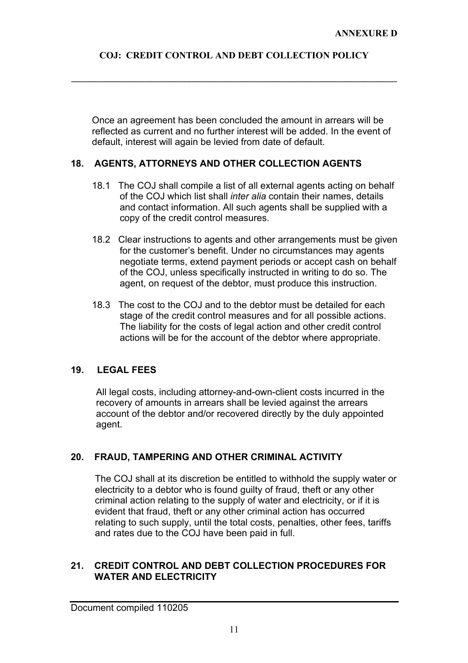**\_\_\_\_\_\_\_\_\_\_\_\_\_\_\_\_\_\_\_\_\_\_\_\_\_\_\_\_\_\_\_\_\_\_\_\_\_\_\_\_\_\_\_\_\_\_\_\_\_\_\_\_\_\_\_\_\_\_\_\_\_\_\_\_\_\_\_\_\_** 

Once an agreement has been concluded the amount in arrears will be reflected as current and no further interest will be added. In the event of default, interest will again be levied from date of default.

## **18. AGENTS, ATTORNEYS AND OTHER COLLECTION AGENTS**

- 18.1 The COJ shall compile a list of all external agents acting on behalf of the COJ which list shall *inter alia* contain their names, details and contact information. All such agents shall be supplied with a copy of the credit control measures.
- 18.2 Clear instructions to agents and other arrangements must be given for the customer's benefit. Under no circumstances may agents negotiate terms, extend payment periods or accept cash on behalf of the COJ, unless specifically instructed in writing to do so. The agent, on request of the debtor, must produce this instruction.
- 18.3 The cost to the COJ and to the debtor must be detailed for each stage of the credit control measures and for all possible actions. The liability for the costs of legal action and other credit control actions will be for the account of the debtor where appropriate.

## **19. LEGAL FEES**

All legal costs, including attorney-and-own-client costs incurred in the recovery of amounts in arrears shall be levied against the arrears account of the debtor and/or recovered directly by the duly appointed agent.

# **20. FRAUD, TAMPERING AND OTHER CRIMINAL ACTIVITY**

The COJ shall at its discretion be entitled to withhold the supply water or electricity to a debtor who is found guilty of fraud, theft or any other criminal action relating to the supply of water and electricity, or if it is evident that fraud, theft or any other criminal action has occurred relating to such supply, until the total costs, penalties, other fees, tariffs and rates due to the COJ have been paid in full.

#### **21. CREDIT CONTROL AND DEBT COLLECTION PROCEDURES FOR WATER AND ELECTRICITY**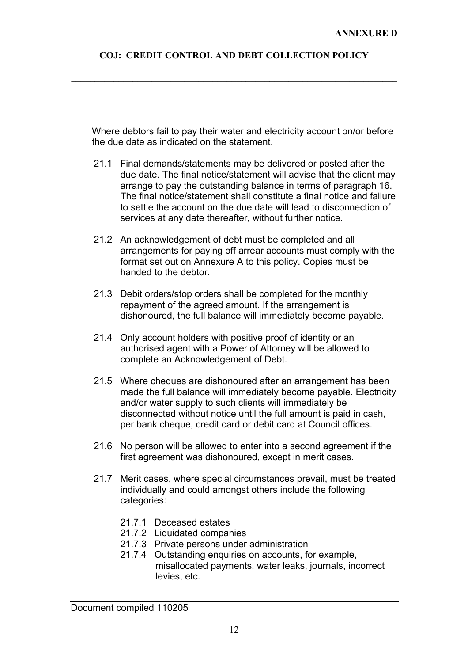**\_\_\_\_\_\_\_\_\_\_\_\_\_\_\_\_\_\_\_\_\_\_\_\_\_\_\_\_\_\_\_\_\_\_\_\_\_\_\_\_\_\_\_\_\_\_\_\_\_\_\_\_\_\_\_\_\_\_\_\_\_\_\_\_\_\_\_\_\_** 

Where debtors fail to pay their water and electricity account on/or before the due date as indicated on the statement.

- 21.1 Final demands/statements may be delivered or posted after the due date. The final notice/statement will advise that the client may arrange to pay the outstanding balance in terms of paragraph 16. The final notice/statement shall constitute a final notice and failure to settle the account on the due date will lead to disconnection of services at any date thereafter, without further notice.
- 21.2 An acknowledgement of debt must be completed and all arrangements for paying off arrear accounts must comply with the format set out on Annexure A to this policy. Copies must be handed to the debtor.
- 21.3 Debit orders/stop orders shall be completed for the monthly repayment of the agreed amount. If the arrangement is dishonoured, the full balance will immediately become payable.
- 21.4 Only account holders with positive proof of identity or an authorised agent with a Power of Attorney will be allowed to complete an Acknowledgement of Debt.
- 21.5 Where cheques are dishonoured after an arrangement has been made the full balance will immediately become payable. Electricity and/or water supply to such clients will immediately be disconnected without notice until the full amount is paid in cash, per bank cheque, credit card or debit card at Council offices.
- 21.6 No person will be allowed to enter into a second agreement if the first agreement was dishonoured, except in merit cases.
- 21.7 Merit cases, where special circumstances prevail, must be treated individually and could amongst others include the following categories:
	- 21.7.1 Deceased estates
	- 21.7.2 Liquidated companies
	- 21.7.3 Private persons under administration
	- 21.7.4 Outstanding enquiries on accounts, for example, misallocated payments, water leaks, journals, incorrect levies, etc.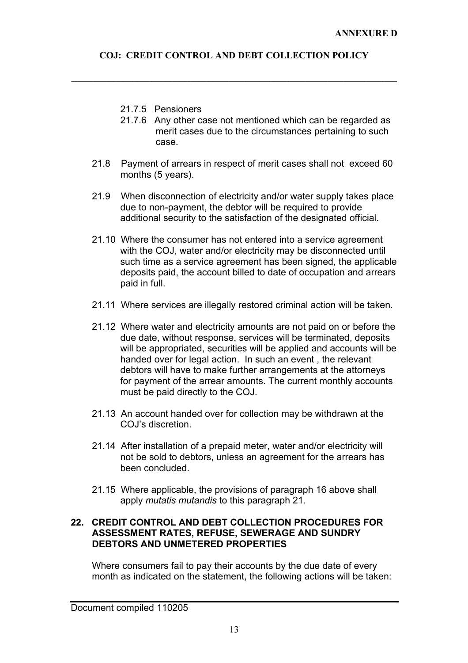**\_\_\_\_\_\_\_\_\_\_\_\_\_\_\_\_\_\_\_\_\_\_\_\_\_\_\_\_\_\_\_\_\_\_\_\_\_\_\_\_\_\_\_\_\_\_\_\_\_\_\_\_\_\_\_\_\_\_\_\_\_\_\_\_\_\_\_\_\_** 

- 21.7.5 Pensioners
- 21.7.6 Any other case not mentioned which can be regarded as merit cases due to the circumstances pertaining to such case.
- 21.8 Payment of arrears in respect of merit cases shall not exceed 60 months (5 years).
- 21.9 When disconnection of electricity and/or water supply takes place due to non-payment, the debtor will be required to provide additional security to the satisfaction of the designated official.
- 21.10 Where the consumer has not entered into a service agreement with the COJ, water and/or electricity may be disconnected until such time as a service agreement has been signed, the applicable deposits paid, the account billed to date of occupation and arrears paid in full.
- 21.11 Where services are illegally restored criminal action will be taken.
- 21.12 Where water and electricity amounts are not paid on or before the due date, without response, services will be terminated, deposits will be appropriated, securities will be applied and accounts will be handed over for legal action. In such an event , the relevant debtors will have to make further arrangements at the attorneys for payment of the arrear amounts. The current monthly accounts must be paid directly to the COJ.
- 21.13 An account handed over for collection may be withdrawn at the COJ's discretion.
- 21.14 After installation of a prepaid meter, water and/or electricity will not be sold to debtors, unless an agreement for the arrears has been concluded.
- 21.15 Where applicable, the provisions of paragraph 16 above shall apply *mutatis mutandis* to this paragraph 21.

#### **22. CREDIT CONTROL AND DEBT COLLECTION PROCEDURES FOR ASSESSMENT RATES, REFUSE, SEWERAGE AND SUNDRY DEBTORS AND UNMETERED PROPERTIES**

Where consumers fail to pay their accounts by the due date of every month as indicated on the statement, the following actions will be taken: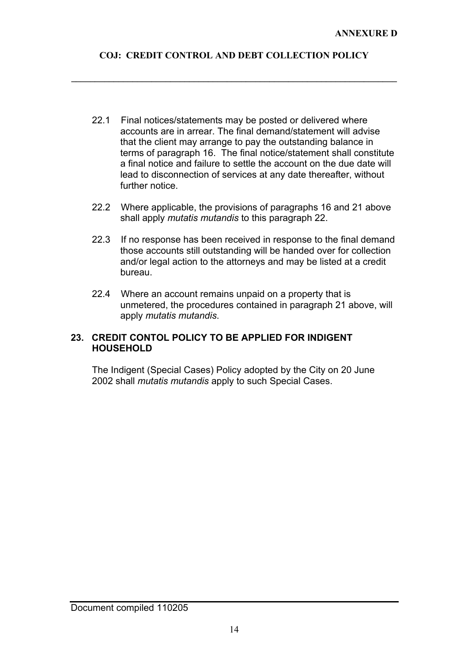**\_\_\_\_\_\_\_\_\_\_\_\_\_\_\_\_\_\_\_\_\_\_\_\_\_\_\_\_\_\_\_\_\_\_\_\_\_\_\_\_\_\_\_\_\_\_\_\_\_\_\_\_\_\_\_\_\_\_\_\_\_\_\_\_\_\_\_\_\_** 

- 22.1 Final notices/statements may be posted or delivered where accounts are in arrear. The final demand/statement will advise that the client may arrange to pay the outstanding balance in terms of paragraph 16. The final notice/statement shall constitute a final notice and failure to settle the account on the due date will lead to disconnection of services at any date thereafter, without further notice.
- 22.2 Where applicable, the provisions of paragraphs 16 and 21 above shall apply *mutatis mutandis* to this paragraph 22.
- 22.3 If no response has been received in response to the final demand those accounts still outstanding will be handed over for collection and/or legal action to the attorneys and may be listed at a credit bureau.
- 22.4 Where an account remains unpaid on a property that is unmetered, the procedures contained in paragraph 21 above, will apply *mutatis mutandis*.

#### **23. CREDIT CONTOL POLICY TO BE APPLIED FOR INDIGENT HOUSEHOLD**

The Indigent (Special Cases) Policy adopted by the City on 20 June 2002 shall *mutatis mutandis* apply to such Special Cases.